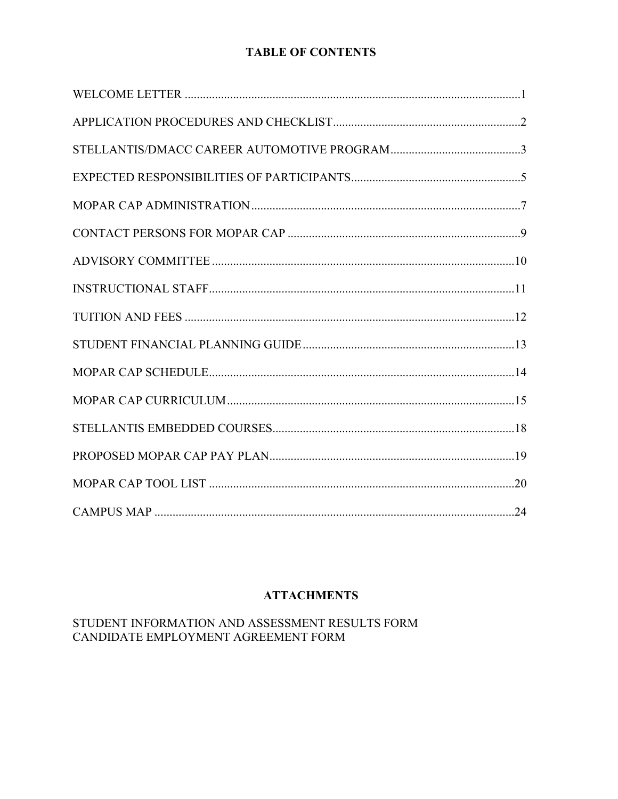# **TABLE OF CONTENTS**

# **ATTACHMENTS**

# STUDENT INFORMATION AND ASSESSMENT RESULTS FORM CANDIDATE EMPLOYMENT AGREEMENT FORM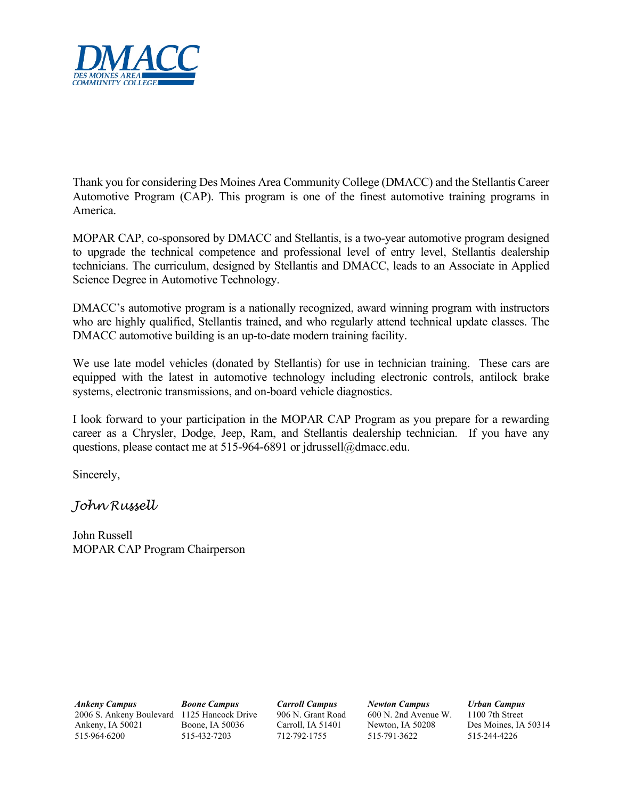

 Thank you for considering Des Moines Area Community College (DMACC) and the Stellantis Career Automotive Program (CAP). This program is one of the finest automotive training programs in America.

MOPAR CAP, co-sponsored by DMACC and Stellantis, is a two-year automotive program designed to upgrade the technical competence and professional level of entry level, Stellantis dealership technicians. The curriculum, designed by Stellantis and DMACC, leads to an Associate in Applied Science Degree in Automotive Technology.

 who are highly qualified, Stellantis trained, and who regularly attend technical update classes. The DMACC's automotive program is a nationally recognized, award winning program with instructors DMACC automotive building is an up-to-date modern training facility.

We use late model vehicles (donated by Stellantis) for use in technician training. These cars are equipped with the latest in automotive technology including electronic controls, antilock brake systems, electronic transmissions, and on-board vehicle diagnostics.

 career as a Chrysler, Dodge, Jeep, Ram, and Stellantis dealership technician. If you have any questions, please contact me at 515-964-6891 or [jdrussell@dmacc.edu.](mailto:jdrussell@dmacc.edu)<br>Sincerely, I look forward to your participation in the MOPAR CAP Program as you prepare for a rewarding

*John Russell* 

John Russell MOPAR CAP Program Chairperson

 Ankeny, IA 50021 Boone, IA 50036 Carroll, IA 51401 Newton, IA 50208 Des Moines, IA 50314 *Ankeny Campus Boone Campus Carroll Campus Newton Campus Urban Campus*  2006 S. Ankeny Boulevard 1125 Hancock Drive 906 N. Grant Road 600 N. 2nd Avenue W.<br>Ankeny, IA 50021 Boone, IA 50036 Carroll, IA 51401 Newton, IA 50208 515⋅964⋅6200 515⋅432⋅7203 712⋅792⋅1755 515⋅791⋅3622 515⋅244⋅4226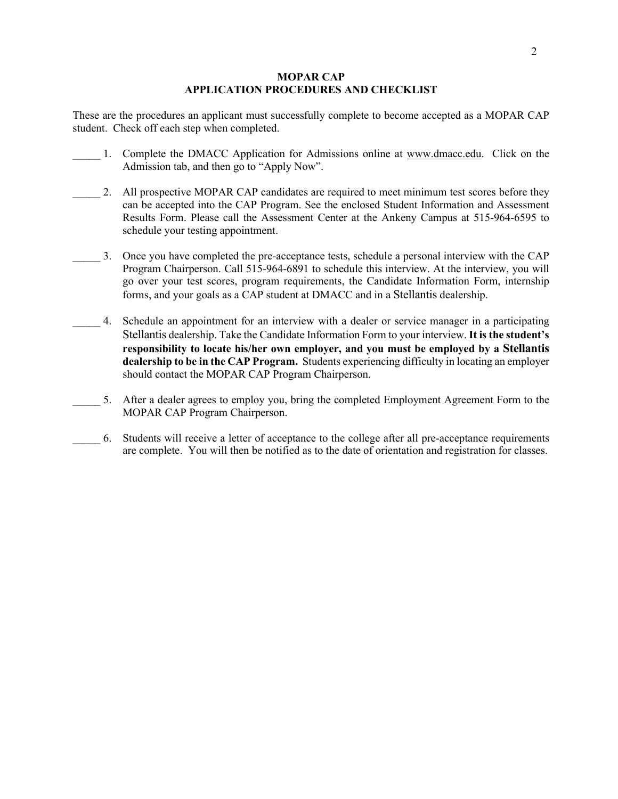### **MOPAR CAP APPLICATION PROCEDURES AND CHECKLIST**

 These are the procedures an applicant must successfully complete to become accepted as a MOPAR CAP student. Check off each step when completed.

- 1. Complete the DMACC Application for Admissions online at <www.dmacc.edu>. Click on the Admission tab, and then go to "Apply Now".
- 2. All prospective MOPAR CAP candidates are required to meet minimum test scores before they Results Form. Please call the Assessment Center at the Ankeny Campus at 515-964-6595 to can be accepted into the CAP Program. See the enclosed Student Information and Assessment schedule your testing appointment.
- \_\_\_\_\_ 3. Once you have completed the pre-acceptance tests, schedule a personal interview with the CAP Program Chairperson. Call 515-964-6891 to schedule this interview. At the interview, you will forms, and your goals as a CAP student at DMACC and in a Stellantis dealership. go over your test scores, program requirements, the Candidate Information Form, internship
- Stellantis dealership. Take the Candidate Information Form to your interview. **It is the student's responsibility to locate his/her own employer, and you must be employed by a Stellantis**  \_\_\_\_\_ 4. Schedule an appointment for an interview with a dealer or service manager in a participating **dealership to be in the CAP Program.** Students experiencing difficulty in locating an employer should contact the MOPAR CAP Program Chairperson.
- 5. After a dealer agrees to employ you, bring the completed Employment Agreement Form to the MOPAR CAP Program Chairperson.
- \_\_\_\_\_ 6. Students will receive a letter of acceptance to the college after all pre-acceptance requirements are complete. You will then be notified as to the date of orientation and registration for classes.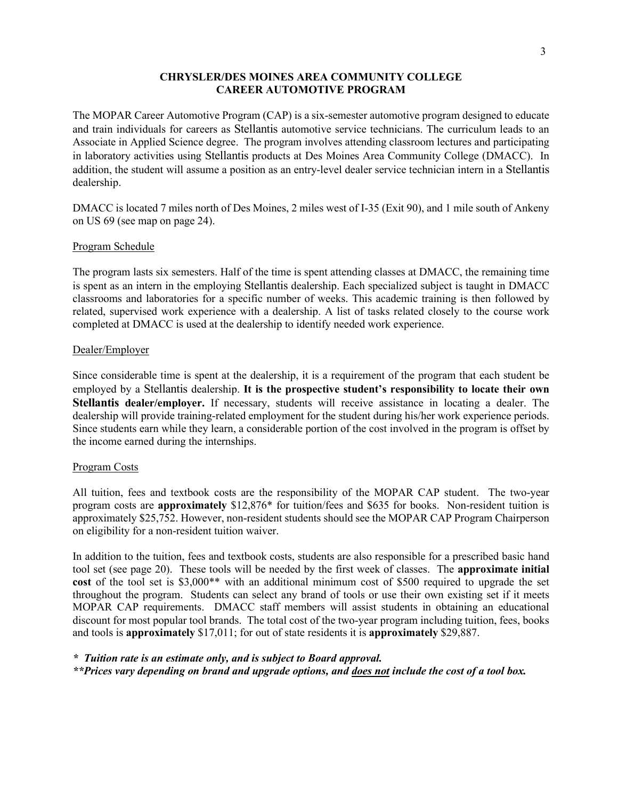### **CHRYSLER/DES MOINES AREA COMMUNITY COLLEGE CAREER AUTOMOTIVE PROGRAM**

 The MOPAR Career Automotive Program (CAP) is a six-semester automotive program designed to educate and train individuals for careers as Stellantis automotive service technicians. The curriculum leads to an Associate in Applied Science degree. The program involves attending classroom lectures and participating in laboratory activities using Stellantis products at Des Moines Area Community College (DMACC). In addition, the student will assume a position as an entry-level dealer service technician intern in a Stellantis dealership.

 on US 69 (see map on page 24). DMACC is located 7 miles north of Des Moines, 2 miles west of I-35 (Exit 90), and 1 mile south of Ankeny

### Program Schedule

 classrooms and laboratories for a specific number of weeks. This academic training is then followed by related, supervised work experience with a dealership. A list of tasks related closely to the course work completed at DMACC is used at the dealership to identify needed work experience. The program lasts six semesters. Half of the time is spent attending classes at DMACC, the remaining time is spent as an intern in the employing Stellantis dealership. Each specialized subject is taught in DMACC

### Dealer/Employer

 Since considerable time is spent at the dealership, it is a requirement of the program that each student be employed by a Stellantis dealership. **It is the prospective student's responsibility to locate their own**  dealership will provide training-related employment for the student during his/her work experience periods. dealership will provide training-related employment for the student during his/her work experience periods. Since students earn while they learn, a considerable portion of the cost involved in the program is offset by the income earned during the internships. **Stellantis dealer/employer.** If necessary, students will receive assistance in locating a dealer. The

### Program Costs

 All tuition, fees and textbook costs are the responsibility of the MOPAR CAP student. The two-year program costs are **approximately** \$12,876\* for tuition/fees and \$635 for books. Non-resident tuition is approximately \$25,752. However, non-resident students should see the MOPAR CAP Program Chairperson on eligibility for a non-resident tuition waiver.

 tool set (see page 20). These tools will be needed by the first week of classes. The **approximate initial**  throughout the program. Students can select any brand of tools or use their own existing set if it meets discount for most popular tool brands. The total cost of the two-year program including tuition, fees, books and tools is **approximately** \$17,011; for out of state residents it is **approximately** \$29,887. In addition to the tuition, fees and textbook costs, students are also responsible for a prescribed basic hand **cost** of the tool set is \$3,000\*\* with an additional minimum cost of \$500 required to upgrade the set MOPAR CAP requirements. DMACC staff members will assist students in obtaining an educational

*\* Tuition rate is an estimate only, and is subject to Board approval.* 

 *\*\*Prices vary depending on brand and upgrade options, and does not include the cost of a tool box.*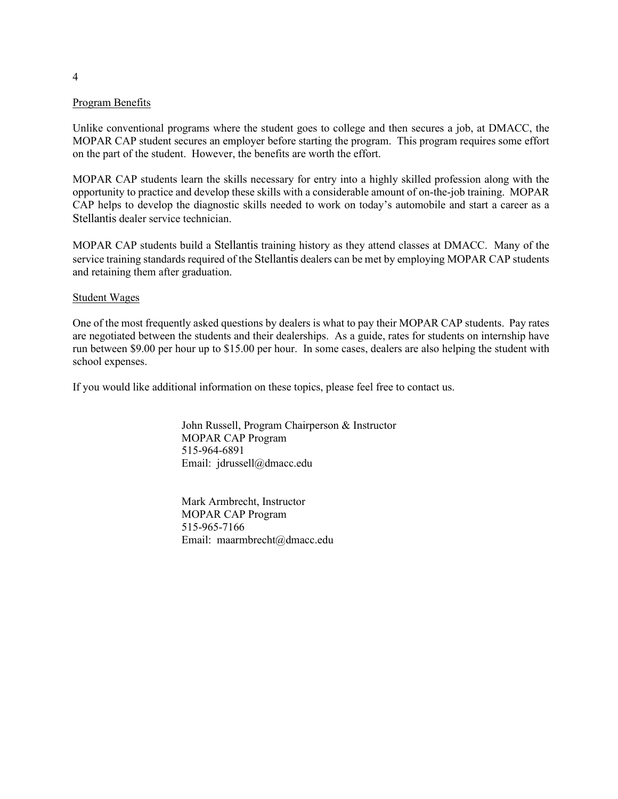### Program Benefits

 MOPAR CAP student secures an employer before starting the program. This program requires some effort Unlike conventional programs where the student goes to college and then secures a job, at DMACC, the on the part of the student. However, the benefits are worth the effort.

 opportunity to practice and develop these skills with a considerable amount of on-the-job training. MOPAR MOPAR CAP students learn the skills necessary for entry into a highly skilled profession along with the CAP helps to develop the diagnostic skills needed to work on today's automobile and start a career as a Stellantis dealer service technician.

 MOPAR CAP students build a Stellantis training history as they attend classes at DMACC. Many of the service training standards required of the Stellantis dealers can be met by employing MOPAR CAP students and retaining them after graduation.

### Student Wages

 One of the most frequently asked questions by dealers is what to pay their MOPAR CAP students. Pay rates run between \$9.00 per hour up to \$15.00 per hour. In some cases, dealers are also helping the student with are negotiated between the students and their dealerships. As a guide, rates for students on internship have school expenses.

If you would like additional information on these topics, please feel free to contact us.

John Russell, Program Chairperson & Instructor MOPAR CAP Program 515-964-6891 Email: [jdrussell@dmacc.edu](mailto:jdrussell@dmacc.edu) 

Mark Armbrecht, Instructor MOPAR CAP Program 515-965-7166 Email: [maarmbrecht@dmacc.edu](mailto:maarmbrecht@dmacc.edu)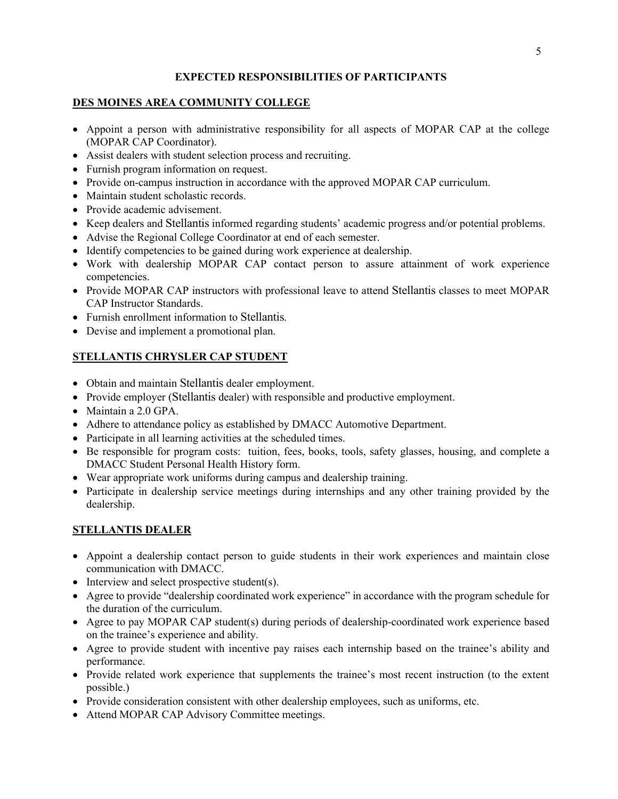# **EXPECTED RESPONSIBILITIES OF PARTICIPANTS**

# **DES MOINES AREA COMMUNITY COLLEGE**

- Appoint a person with administrative responsibility for all aspects of MOPAR CAP at the college (MOPAR CAP Coordinator).
- Assist dealers with student selection process and recruiting.
- Furnish program information on request.
- Provide on-campus instruction in accordance with the approved MOPAR CAP curriculum.
- Maintain student scholastic records.
- Provide academic advisement.
- Keep dealers and Stellantis informed regarding students' academic progress and/or potential problems.
- Advise the Regional College Coordinator at end of each semester.
- Identify competencies to be gained during work experience at dealership.
- Work with dealership MOPAR CAP contact person to assure attainment of work experience competencies.
- • Provide MOPAR CAP instructors with professional leave to attend Stellantis classes to meet MOPAR CAP Instructor Standards.
- Furnish enrollment information to Stellantis.
- Devise and implement a promotional plan.

# **STELLANTIS CHRYSLER CAP STUDENT**

- Obtain and maintain Stellantis dealer employment.
- Provide employer (Stellantis dealer) with responsible and productive employment.
- Maintain a 2.0 GPA.
- Adhere to attendance policy as established by DMACC Automotive Department.
- Participate in all learning activities at the scheduled times.
- • Be responsible for program costs: tuition, fees, books, tools, safety glasses, housing, and complete a DMACC Student Personal Health History form.
- Wear appropriate work uniforms during campus and dealership training.
- Participate in dealership service meetings during internships and any other training provided by the dealership.

# **STELLANTIS DEALER**

- Appoint a dealership contact person to guide students in their work experiences and maintain close communication with DMACC.
- Interview and select prospective student(s).
- • Agree to provide "dealership coordinated work experience" in accordance with the program schedule for the duration of the curriculum.
- Agree to pay MOPAR CAP student(s) during periods of dealership-coordinated work experience based on the trainee's experience and ability.
- Agree to provide student with incentive pay raises each internship based on the trainee's ability and performance.
- Provide related work experience that supplements the trainee's most recent instruction (to the extent possible.)
- Provide consideration consistent with other dealership employees, such as uniforms, etc.
- Attend MOPAR CAP Advisory Committee meetings.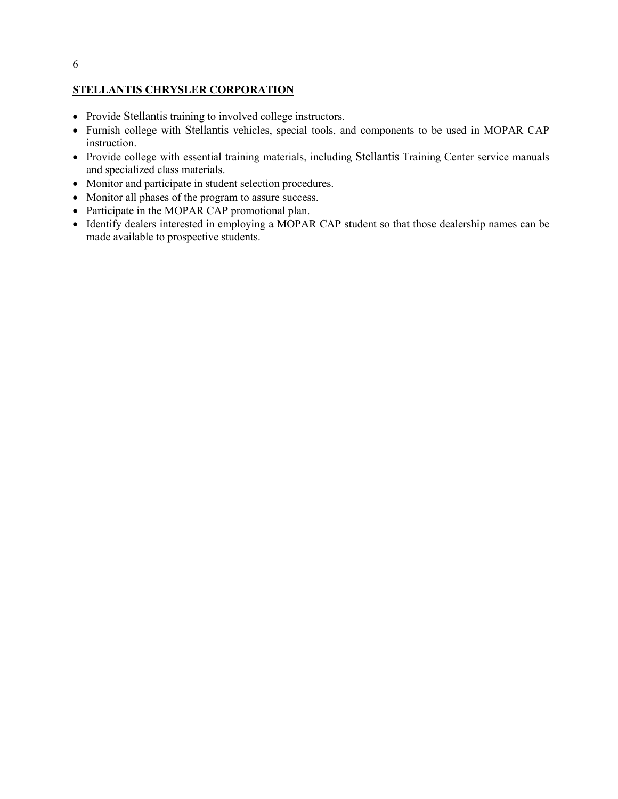### 6

### **STELLANTIS CHRYSLER CORPORATION**

- Provide Stellantis training to involved college instructors.
- • Furnish college with Stellantis vehicles, special tools, and components to be used in MOPAR CAP instruction.
- • Provide college with essential training materials, including Stellantis Training Center service manuals and specialized class materials.
- Monitor and participate in student selection procedures.
- Monitor all phases of the program to assure success.
- Participate in the MOPAR CAP promotional plan.
- • Identify dealers interested in employing a MOPAR CAP student so that those dealership names can be made available to prospective students.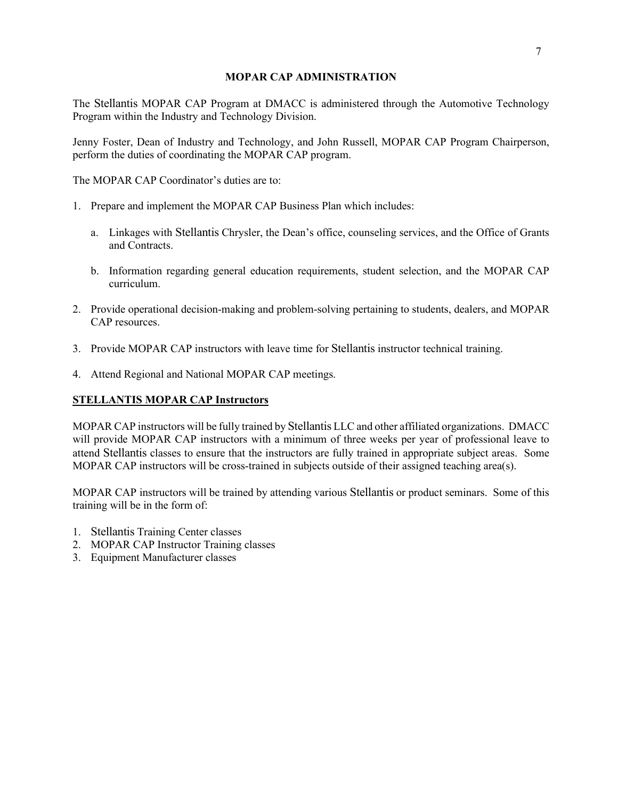### **MOPAR CAP ADMINISTRATION**

The Stellantis MOPAR CAP Program at DMACC is administered through the Automotive Technology Program within the Industry and Technology Division.

 perform the duties of coordinating the MOPAR CAP program. Jenny Foster, Dean of Industry and Technology, and John Russell, MOPAR CAP Program Chairperson,

The MOPAR CAP Coordinator's duties are to:

- 1. Prepare and implement the MOPAR CAP Business Plan which includes:
	- a. Linkages with Stellantis Chrysler, the Dean's office, counseling services, and the Office of Grants and Contracts.
	- b. Information regarding general education requirements, student selection, and the MOPAR CAP curriculum.
- CAP resources. 2. Provide operational decision-making and problem-solving pertaining to students, dealers, and MOPAR
- 3. Provide MOPAR CAP instructors with leave time for Stellantis instructor technical training.
- 4. Attend Regional and National MOPAR CAP meetings.

# **STELLANTIS MOPAR CAP Instructors**

 MOPAR CAP instructors will be fully trained by Stellantis LLC and other affiliated organizations. DMACC attend Stellantis classes to ensure that the instructors are fully trained in appropriate subject areas. Some will provide MOPAR CAP instructors with a minimum of three weeks per year of professional leave to MOPAR CAP instructors will be cross-trained in subjects outside of their assigned teaching area(s).

 MOPAR CAP instructors will be trained by attending various Stellantis or product seminars. Some of this training will be in the form of:

- 1. Stellantis Training Center classes
- 2. MOPAR CAP Instructor Training classes
- 3. Equipment Manufacturer classes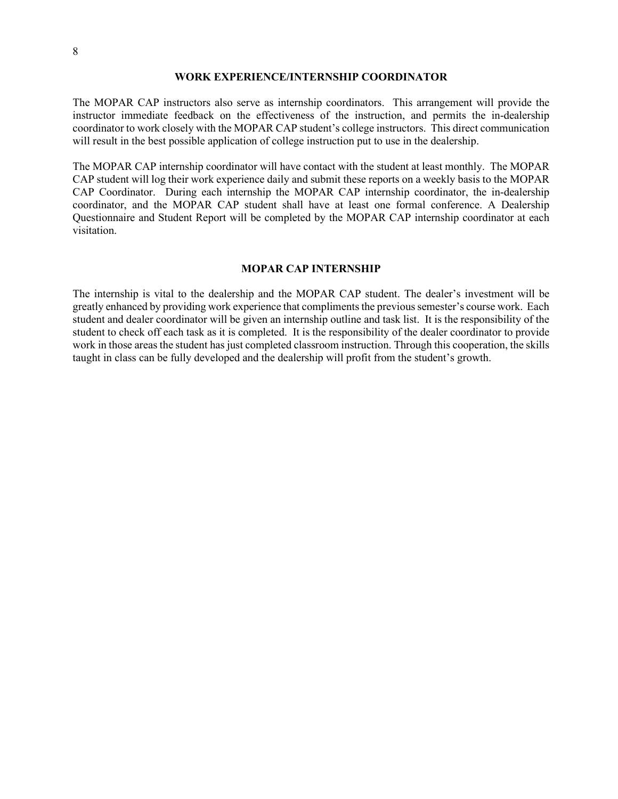### **WORK EXPERIENCE/INTERNSHIP COORDINATOR**

 The MOPAR CAP instructors also serve as internship coordinators. This arrangement will provide the instructor immediate feedback on the effectiveness of the instruction, and permits the in-dealership coordinator to work closely with the MOPAR CAP student's college instructors. This direct communication will result in the best possible application of college instruction put to use in the dealership.

 The MOPAR CAP internship coordinator will have contact with the student at least monthly. The MOPAR CAP Coordinator. During each internship the MOPAR CAP internship coordinator, the in-dealership CAP student will log their work experience daily and submit these reports on a weekly basis to the MOPAR coordinator, and the MOPAR CAP student shall have at least one formal conference. A Dealership Questionnaire and Student Report will be completed by the MOPAR CAP internship coordinator at each visitation.

### **MOPAR CAP INTERNSHIP**

 The internship is vital to the dealership and the MOPAR CAP student. The dealer's investment will be work in those areas the student has just completed classroom instruction. Through this cooperation, the skills taught in class can be fully developed and the dealership will profit from the student's growth. greatly enhanced by providing work experience that compliments the previous semester's course work. Each student and dealer coordinator will be given an internship outline and task list. It is the responsibility of the student to check off each task as it is completed. It is the responsibility of the dealer coordinator to provide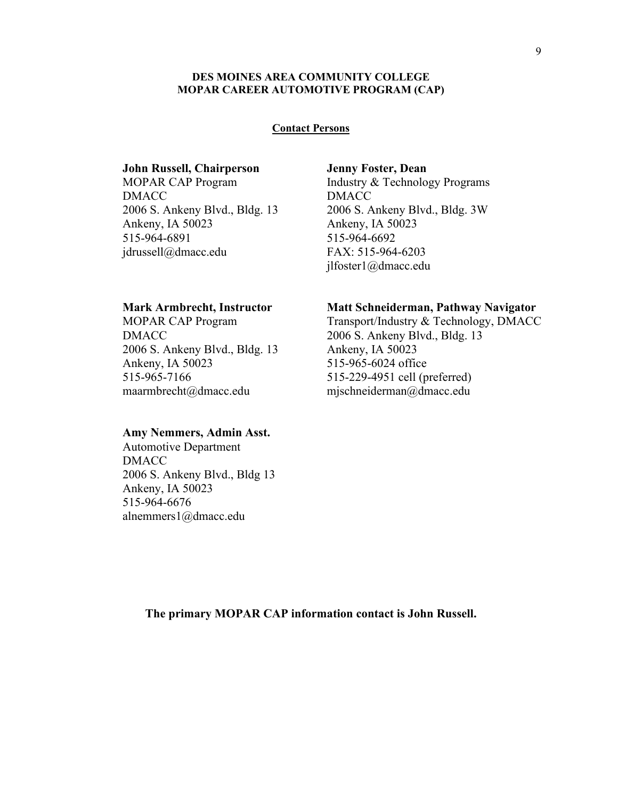### **DES MOINES AREA COMMUNITY COLLEGE MOPAR CAREER AUTOMOTIVE PROGRAM (CAP)**

### **Contact Persons**

### **John Russell, Chairperson**

**DMACC** DMACC<br>2006 S. Ankeny Blvd., Bldg. 13 Ankeny, IA 50023 515-964-6891 515-964-6891<br>jdrussell@dmacc.edu MOPAR CAP Program

### **Mark Armbrecht, Instructor**

 MOPAR CAP Program **DMACC** DMACC<br>2006 S. Ankeny Blvd., Bldg. 13 Ankeny, IA 50023 515-965-7166 [515-965-7166 maarmbrecht@dmacc.edu](mailto:maarmbrecht@dmacc.edu) 

### **Amy Nemmers, Admin Asst.**

Automotive Department DMACC 2006 S. Ankeny Blvd., Bldg 13 Ankeny, IA 50023 515-964-6676 [alnemmers1@dmacc.edu](mailto:alnemmers1@dmacc.edu) 

**Jenny Foster, Dean**  Industry & Technology Programs DMACC 2006 S. Ankeny Blvd., Bldg. 3W Ankeny, IA 50023 515-964-6692 FAX: 515-964-6203 [jlfoster1@dmacc.edu](mailto:jlfoster1@dmacc.edu) 

### **Matt Schneiderman, Pathway Navigator**

Transport/Industry & Technology, DMACC 2006 S. Ankeny Blvd., Bldg. 13 Ankeny, IA 50023 515-965-6024 office 515-229-4951 cell (preferred) [mjschneiderman@dmacc.edu](mailto:mjschneiderman@dmacc.edu) 

**The primary MOPAR CAP information contact is John Russell.**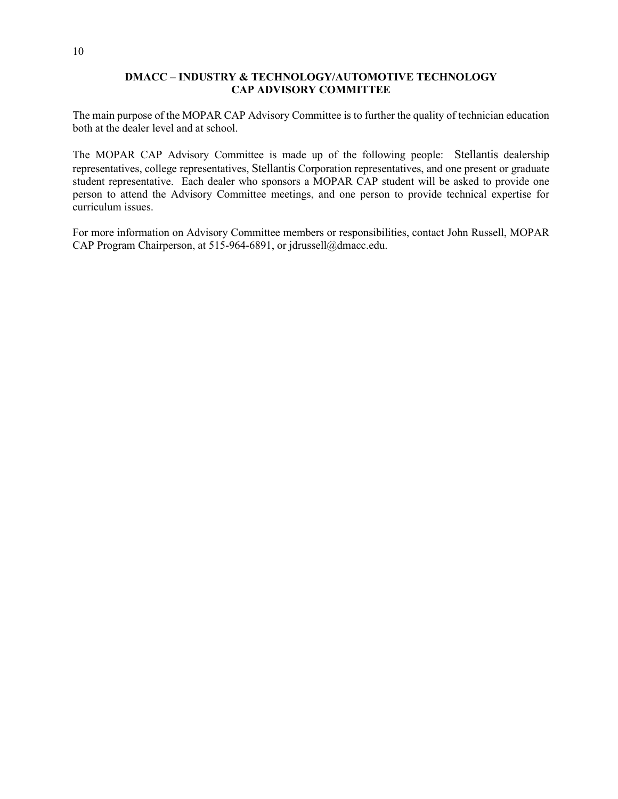### **DMACC – INDUSTRY & TECHNOLOGY/AUTOMOTIVE TECHNOLOGY CAP ADVISORY COMMITTEE**

 The main purpose of the MOPAR CAP Advisory Committee is to further the quality of technician education both at the dealer level and at school.

 The MOPAR CAP Advisory Committee is made up of the following people: Stellantis dealership student representative. Each dealer who sponsors a MOPAR CAP student will be asked to provide one person to attend the Advisory Committee meetings, and one person to provide technical expertise for representatives, college representatives, Stellantis Corporation representatives, and one present or graduate curriculum issues.

For more information on Advisory Committee members or responsibilities, contact John Russell, MOPAR CAP Program Chairperson, at 515-964-6891, or [jdrussell@dmacc.edu.](mailto:jdrussell@dmacc.edu)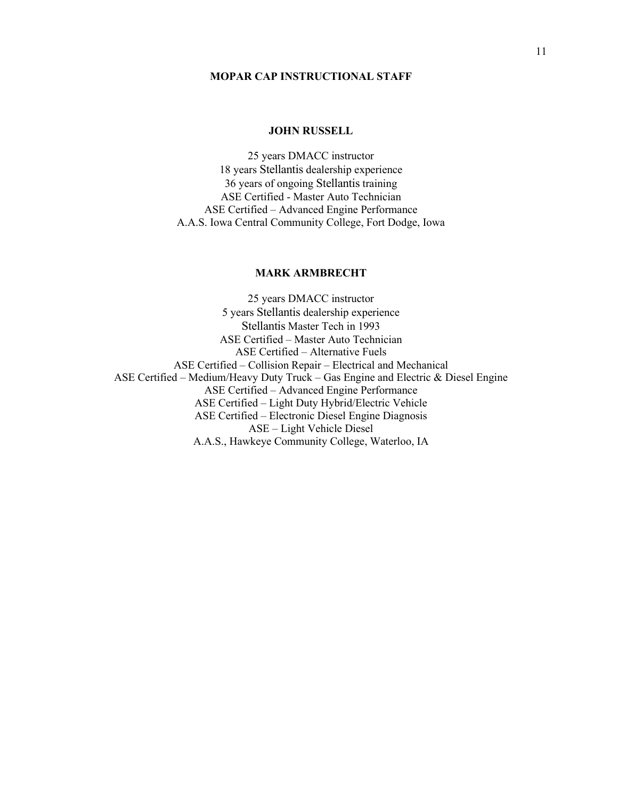### **MOPAR CAP INSTRUCTIONAL STAFF**

### **JOHN RUSSELL**

 36 years of ongoing Stellantis training 25 years DMACC instructor 18 years Stellantis dealership experience ASE Certified - Master Auto Technician ASE Certified – Advanced Engine Performance A.A.S. Iowa Central Community College, Fort Dodge, Iowa

### **MARK ARMBRECHT**

25 years DMACC instructor 5 years Stellantis dealership experience Stellantis Master Tech in 1993 ASE Certified – Master Auto Technician ASE Certified – Alternative Fuels ASE Certified – Collision Repair – Electrical and Mechanical ASE Certified – Medium/Heavy Duty Truck – Gas Engine and Electric & Diesel Engine ASE Certified – Advanced Engine Performance ASE Certified – Light Duty Hybrid/Electric Vehicle ASE Certified – Electronic Diesel Engine Diagnosis ASE – Light Vehicle Diesel A.A.S., Hawkeye Community College, Waterloo, IA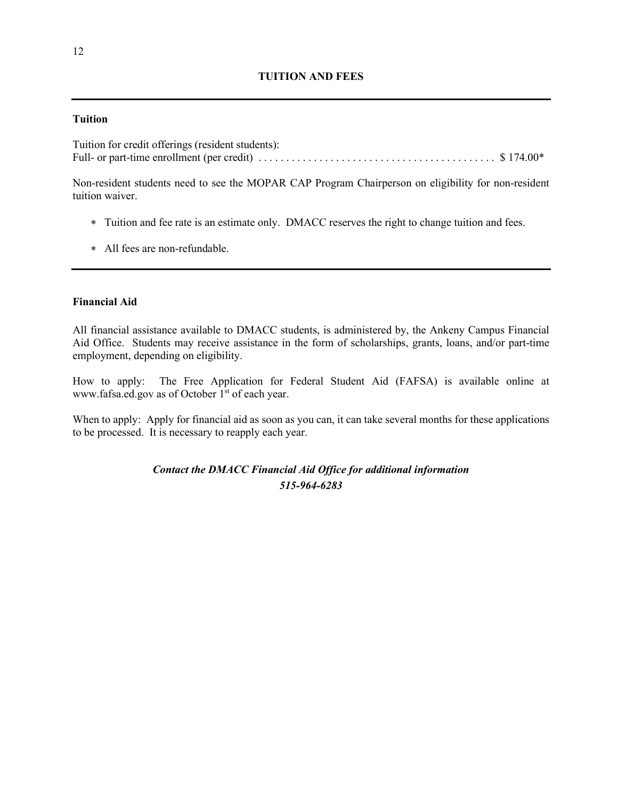## **TUITION AND FEES**

### **Tuition**

 Full- or part-time enrollment (per credit) . . . . . . . . . . . . . . . . . . . . . . . . . . . . . . . . . . . . . . . . . . . \$ 174.00\* Tuition for credit offerings (resident students):

Non-resident students need to see the MOPAR CAP Program Chairperson on eligibility for non-resident tuition waiver.

- ∗ Tuition and fee rate is an estimate only. DMACC reserves the right to change tuition and fees.
- ∗ All fees are non-refundable.

### **Financial Aid**

 Aid Office. Students may receive assistance in the form of scholarships, grants, loans, and/or part-time employment, depending on eligibility. All financial assistance available to DMACC students, is administered by, the Ankeny Campus Financial

How to apply: The Free Application for Federal Student Aid (FAFSA) is available online at [www.fafsa.ed.gov](http://www.fafsa.ed.gov/) as of October 1<sup>st</sup> of each year.

 When to apply: Apply for financial aid as soon as you can, it can take several months for these applications to be processed. It is necessary to reapply each year.

> *Contact the DMACC Financial Aid Office for additional information 515-964-6283*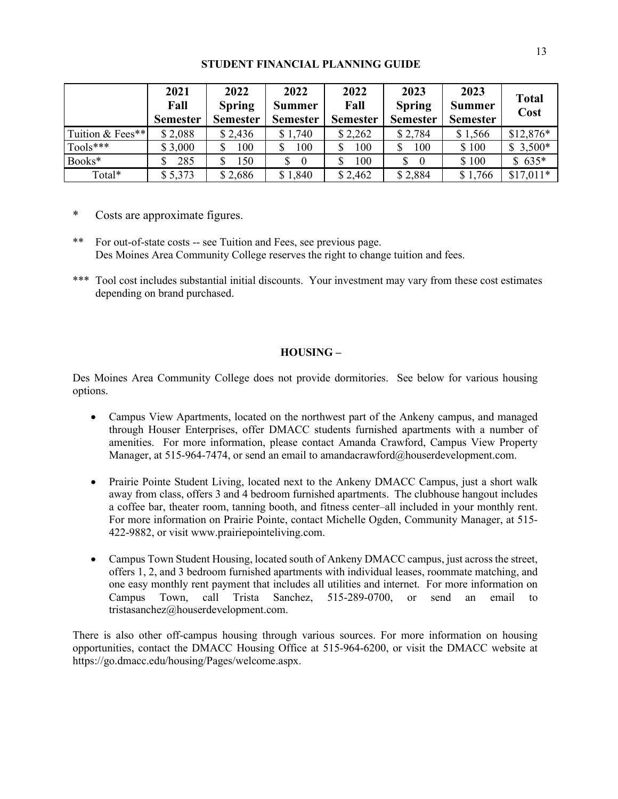### **STUDENT FINANCIAL PLANNING GUIDE**

|                  | 2021<br>Fall<br><b>Semester</b> | 2022<br><b>Spring</b><br><b>Semester</b> | 2022<br><b>Summer</b><br><b>Semester</b> | 2022<br>Fall<br><b>Semester</b> | 2023<br><b>Spring</b><br><b>Semester</b> | 2023<br><b>Summer</b><br><b>Semester</b> | <b>Total</b><br>Cost |
|------------------|---------------------------------|------------------------------------------|------------------------------------------|---------------------------------|------------------------------------------|------------------------------------------|----------------------|
| Tuition & Fees** | \$2,088                         | \$2,436                                  | \$1,740                                  | \$2,262                         | \$2,784                                  | \$1,566                                  | $$12,876*$           |
| $Tools***$       | \$3,000                         | 100                                      | 100                                      | 100                             | 100                                      | \$100                                    | $$3,500*$            |
| Books*           | 285                             | 150                                      | \$<br>$\theta$                           | 100                             | \$<br>$\theta$                           | \$100                                    | $$635*$              |
| Total*           | \$5,373                         | \$2,686                                  | \$1,840                                  | \$2,462                         | \$2,884                                  | \$1,766                                  | $$17,011*$           |

\* Costs are approximate figures.

- \*\* For out-of-state costs -- see Tuition and Fees, see previous page. Des Moines Area Community College reserves the right to change tuition and fees.
- \*\*\* Tool cost includes substantial initial discounts. Your investment may vary from these cost estimates depending on brand purchased.

### **HOUSING –**

Des Moines Area Community College does not provide dormitories. See below for various housing options.

- amenities. For more information, please contact Amanda Crawford, Campus View Property • Campus View Apartments, located on the northwest part of the Ankeny campus, and managed through Houser Enterprises, offer DMACC students furnished apartments with a number of Manager, at 515-964-7474, or send an email to [amandacrawford@houserdevelopment.com.](mailto:amandacrawford@houserdevelopment.com)
- a coffee bar, theater room, tanning booth, and fitness center–all included in your monthly rent. For more information on Prairie Pointe, contact Michelle Ogden, Community Manager, at 515- • Prairie Pointe Student Living, located next to the Ankeny DMACC Campus, just a short walk away from class, offers 3 and 4 bedroom furnished apartments. The clubhouse hangout includes 422-9882, or visit [www.prairiepointeliving.com.](http://www.prairiepointeliving.com/)
- Campus Town Student Housing, located south of Ankeny DMACC campus, just across the street, offers 1, 2, and 3 bedroom furnished apartments with individual leases, roommate matching, and one easy monthly rent payment that includes all utilities and internet. For more information on Campus Town, call Trista Sanchez, 515-289-0700, or send an email to [tristasanchez@houserdevelopment.com.](mailto:tristasanchez@houserdevelopment.com)

 opportunities, contact the DMACC Housing Office at 515-964-6200, or visit the DMACC website at There is also other off-campus housing through various sources. For more information on housing [https://go.dmacc.edu/housing/Pages/welcome.aspx.](https://go.dmacc.edu/housing/Pages/welcome.aspx)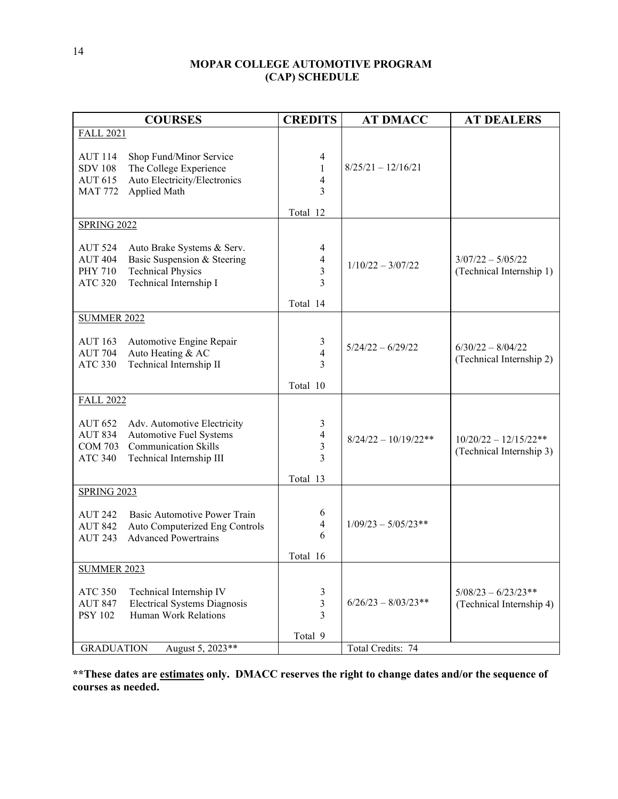# **MOPAR COLLEGE AUTOMOTIVE PROGRAM (CAP) SCHEDULE**

| <b>COURSES</b>                                                                                                                                                                            | <b>CREDITS</b>                                      | <b>AT DMACC</b>        | <b>AT DEALERS</b>                                   |
|-------------------------------------------------------------------------------------------------------------------------------------------------------------------------------------------|-----------------------------------------------------|------------------------|-----------------------------------------------------|
| <b>FALL 2021</b>                                                                                                                                                                          |                                                     |                        |                                                     |
| <b>AUT 114</b><br>Shop Fund/Minor Service<br>The College Experience<br><b>SDV 108</b><br>Auto Electricity/Electronics<br><b>AUT 615</b><br>Applied Math<br><b>MAT 772</b>                 | 4<br>1<br>$\overline{\mathbf{4}}$<br>3              | $8/25/21 - 12/16/21$   |                                                     |
|                                                                                                                                                                                           | Total 12                                            |                        |                                                     |
| <b>SPRING 2022</b>                                                                                                                                                                        |                                                     |                        |                                                     |
| <b>AUT 524</b><br>Auto Brake Systems & Serv.<br><b>AUT 404</b><br>Basic Suspension & Steering<br><b>PHY 710</b><br><b>Technical Physics</b><br><b>ATC 320</b><br>Technical Internship I   | 4<br>4<br>$\overline{\mathbf{3}}$<br>3              | $1/10/22 - 3/07/22$    | $3/07/22 - 5/05/22$<br>(Technical Internship 1)     |
|                                                                                                                                                                                           | Total 14                                            |                        |                                                     |
| <b>SUMMER 2022</b><br><b>AUT 163</b><br>Automotive Engine Repair<br>Auto Heating & AC<br><b>AUT 704</b><br>Technical Internship II<br><b>ATC 330</b>                                      | 3<br>$\overline{4}$<br>3<br>Total 10                | $5/24/22 - 6/29/22$    | $6/30/22 - 8/04/22$<br>(Technical Internship 2)     |
| <b>FALL 2022</b>                                                                                                                                                                          |                                                     |                        |                                                     |
| <b>AUT 652</b><br>Adv. Automotive Electricity<br><b>AUT 834</b><br>Automotive Fuel Systems<br><b>Communication Skills</b><br><b>COM 703</b><br><b>ATC 340</b><br>Technical Internship III | 3<br>$\overline{\mathcal{A}}$<br>3<br>3<br>Total 13 | $8/24/22 - 10/19/22**$ | $10/20/22 - 12/15/22**$<br>(Technical Internship 3) |
| <b>SPRING 2023</b>                                                                                                                                                                        |                                                     |                        |                                                     |
| <b>AUT 242</b><br>Basic Automotive Power Train<br><b>AUT 842</b><br>Auto Computerized Eng Controls<br><b>Advanced Powertrains</b><br><b>AUT 243</b>                                       | 6<br>4<br>6<br>Total 16                             | $1/09/23 - 5/05/23**$  |                                                     |
| <b>SUMMER 2023</b>                                                                                                                                                                        |                                                     |                        |                                                     |
| <b>ATC 350</b><br>Technical Internship IV<br><b>Electrical Systems Diagnosis</b><br><b>AUT 847</b><br>Human Work Relations<br><b>PSY 102</b>                                              | 3<br>3<br>3                                         | $6/26/23 - 8/03/23**$  | $5/08/23 - 6/23/23**$<br>(Technical Internship 4)   |
| <b>GRADUATION</b><br>August 5, 2023**                                                                                                                                                     | Total 9                                             | Total Credits: 74      |                                                     |

**\*\*These dates are estimates only. DMACC reserves the right to change dates and/or the sequence of courses as needed.**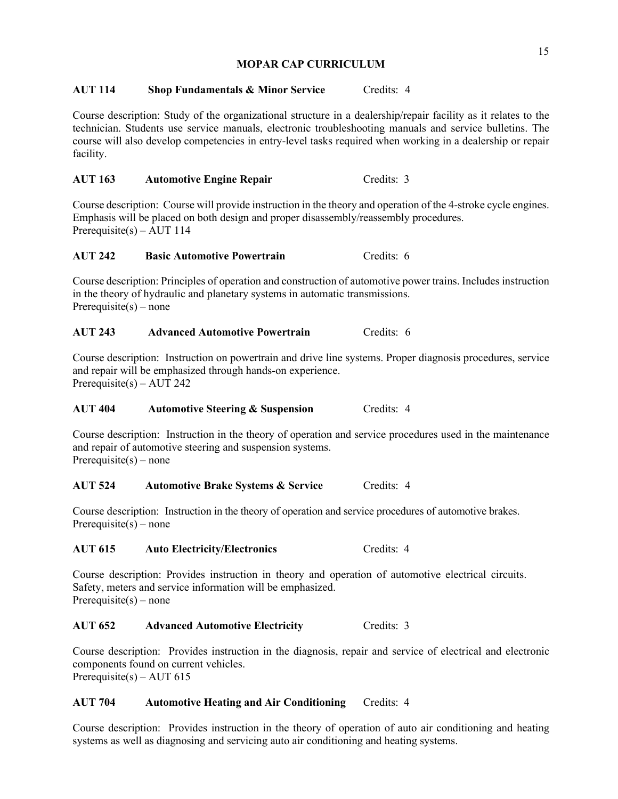### **MOPAR CAP CURRICULUM**

### **AUT 114 Shop Fundamentals & Minor Service Credits: 4**

 Course description: Study of the organizational structure in a dealership/repair facility as it relates to the course will also develop competencies in entry-level tasks required when working in a dealership or repair technician. Students use service manuals, electronic troubleshooting manuals and service bulletins. The facility.

### **AUT 163 Automotive Engine Repair** Credits: 3

 Course description: Course will provide instruction in the theory and operation of the 4-stroke cycle engines. Prerequisite(s) – AUT 114 Emphasis will be placed on both design and proper disassembly/reassembly procedures.

### **AUT 242 Basic Automotive Powertrain** Credits: 6

 Course description: Principles of operation and construction of automotive power trains. Includes instruction in the theory of hydraulic and planetary systems in automatic transmissions. Prerequisite(s) – none

### **AUT 243 Advanced Automotive Powertrain** Credits: 6

 Course description: Instruction on powertrain and drive line systems. Proper diagnosis procedures, service Prerequisite(s) – AUT 242 and repair will be emphasized through hands-on experience.

#### **AUT 404** Automotive Steering & Suspension **Credits: 4**

 Course description: Instruction in the theory of operation and service procedures used in the maintenance Prerequisite(s) – none and repair of automotive steering and suspension systems.

#### **AUT 524 Automotive Brake Systems & Service Credits: 4**

 Course description: Instruction in the theory of operation and service procedures of automotive brakes. Prerequisite(s) – none

### AUT 615 Auto Electricity/Electronics Credits: 4

 Safety, meters and service information will be emphasized. Prerequisite(s) – none Course description: Provides instruction in theory and operation of automotive electrical circuits.

### AUT 652 Advanced Automotive Electricity Credits: 3

 components found on current vehicles. Prerequisite(s) – AUT 615 Prerequisite(s) – AUT 615 Course description: Provides instruction in the diagnosis, repair and service of electrical and electronic

### **AUT 704 Automotive Heating and Air Conditioning** Credits: 4

 Course description: Provides instruction in the theory of operation of auto air conditioning and heating systems as well as diagnosing and servicing auto air conditioning and heating systems.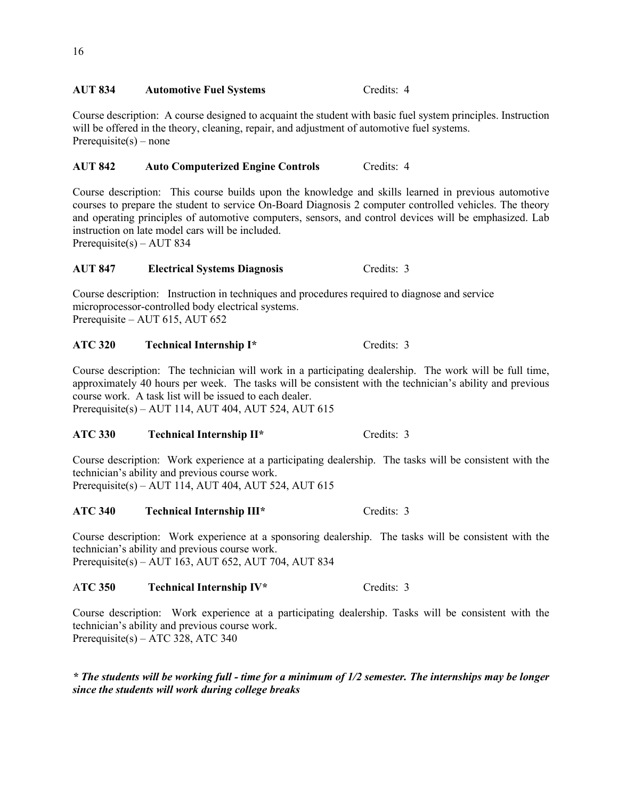### AUT 834 Automotive Fuel Systems **Credits: 4**

 Course description: A course designed to acquaint the student with basic fuel system principles. Instruction Prerequisite(s) – none will be offered in the theory, cleaning, repair, and adjustment of automotive fuel systems.

# AUT 842 Auto Computerized Engine Controls Credits: 4

Course description: This course builds upon the knowledge and skills learned in previous automotive courses to prepare the student to service On-Board Diagnosis 2 computer controlled vehicles. The theory and operating principles of automotive computers, sensors, and control devices will be emphasized. Lab instruction on late model cars will be included.

Prerequisite(s) – AUT 834

### **AUT 847 Electrical Systems Diagnosis** Credits: 3

 Course description: Instruction in techniques and procedures required to diagnose and service Prerequisite – [AUT 615,](https://catalog.dmacc.edu/preview_program.php?catoid=12&poid=1580#tt9575) [AUT 652](https://catalog.dmacc.edu/preview_program.php?catoid=12&poid=1580#tt6882)  microprocessor-controlled body electrical systems.

### **ATC 320 Technical Internship I\*** Credits: 3

 Course description: The technician will work in a participating dealership. The work will be full time, approximately 40 hours per week. The tasks will be consistent with the technician's ability and previous course work. A task list will be issued to each dealer. Prerequisite(s) – AUT 114, AUT 404, AUT 524, AUT 615

### **ATC 330 Technical Internship II\*** Credits: 3

 Course description: Work experience at a participating dealership. The tasks will be consistent with the technician's ability and previous course work. Prerequisite(s) – AUT 114, AUT 404, AUT 524, AUT 615

# ATC 340 Technical Internship III\* Credits: 3

Course description: Work experience at a sponsoring dealership. The tasks will be consistent with the technician's ability and previous course work. Prerequisite(s) – AUT 163, AUT 652, AUT 704, AUT 834

### A**TC 350 Technical Internship IV\*** Credits: 3

 Course description: Work experience at a participating dealership. Tasks will be consistent with the technician's ability and previous course work. Prerequisite(s) – ATC 328, ATC 340

*\* The students will be working full - time for a minimum of 1/2 semester. The internships may be longer since the students will work during college breaks*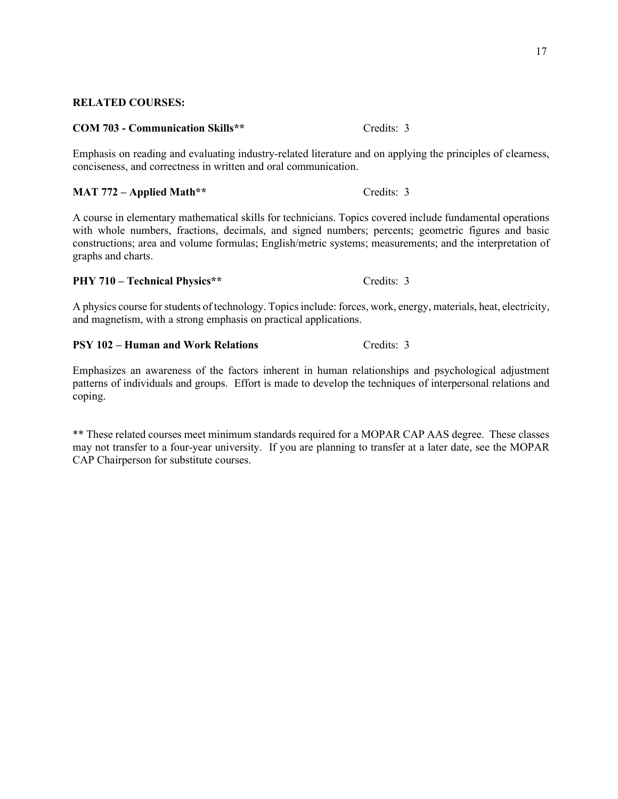<span id="page-17-0"></span>**RELATED COURSES:** 

# **COM 703 - Communication Skills\*\*** Credits: 3

Emphasis on reading and evaluating industry-related literature and on applying the principles of clearness, conciseness, and correctness in written and oral communication.

### **MAT 772 – Applied Math\*\*** Credits: 3

A course in elementary mathematical skills for technicians. Topics covered include fundamental operations with whole numbers, fractions, decimals, and signed numbers; percents; geometric figures and basic constructions; area and volume formulas; English/metric systems; measurements; and the interpretation of graphs and charts.

### **PHY 710 – Technical Physics\*\*** Credits: 3

A physics course for students of technology. Topics include: forces, work, energy, materials, heat, electricity, and magnetism, with a strong emphasis on practical applications.

### **PSY 102 – Human and Work Relations** Credits: 3

 Emphasizes an awareness of the factors inherent in human relationships and psychological adjustment patterns of individuals and groups. Effort is made to develop the techniques of interpersonal relations and coping.

 \*\* These related courses meet minimum standards required for a MOPAR CAP AAS degree. These classes may not transfer to a four-year university. If you are planning to transfer at a later date, see the MOPAR CAP Chairperson for substitute courses.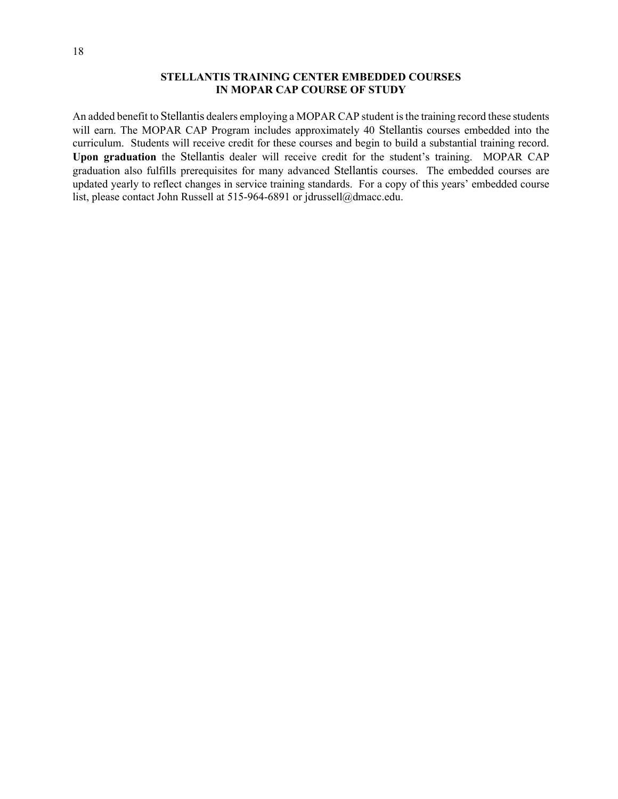### **STELLANTIS TRAINING CENTER EMBEDDED COURSES IN MOPAR CAP COURSE OF STUDY**

 An added benefit to Stellantis dealers employing a MOPAR CAP student is the training record these students will earn. The MOPAR CAP Program includes approximately 40 Stellantis courses embedded into the curriculum. Students will receive credit for these courses and begin to build a substantial training record. **Upon graduation** the Stellantis dealer will receive credit for the student's training. MOPAR CAP graduation also fulfills prerequisites for many advanced Stellantis courses. The embedded courses are updated yearly to reflect changes in service training standards. For a copy of this years' embedded course list, please contact John Russell at 515-964-6891 or [jdrussell@dmacc.edu.](mailto:jdrussell@dmacc.edu)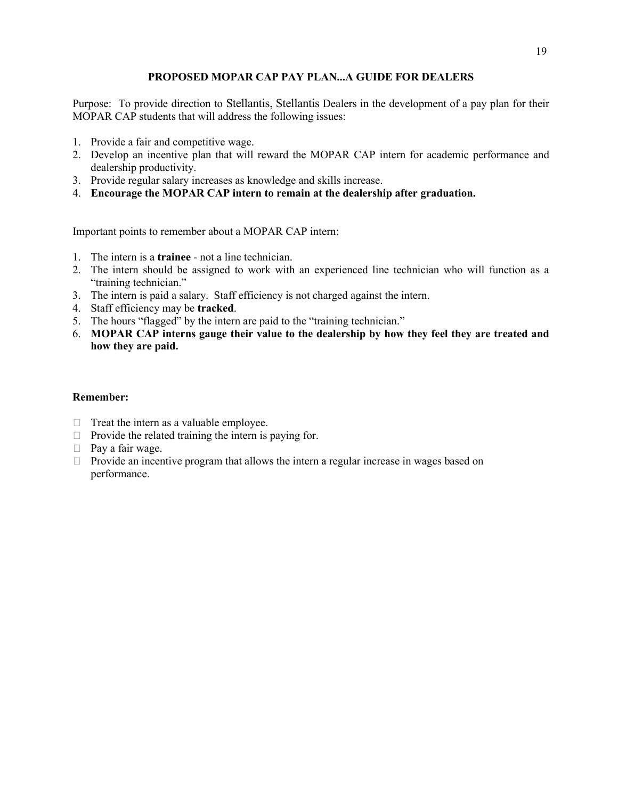## **PROPOSED MOPAR CAP PAY PLAN...A GUIDE FOR DEALERS**

 Purpose: To provide direction to Stellantis, Stellantis Dealers in the development of a pay plan for their MOPAR CAP students that will address the following issues:

- 1. Provide a fair and competitive wage.
- 2. Develop an incentive plan that will reward the MOPAR CAP intern for academic performance and dealership productivity.
- 3. Provide regular salary increases as knowledge and skills increase.
- 4. **Encourage the MOPAR CAP intern to remain at the dealership after graduation.**

Important points to remember about a MOPAR CAP intern:

- 1. The intern is a **trainee**  not a line technician.
- 2. The intern should be assigned to work with an experienced line technician who will function as a "training technician."
- 3. The intern is paid a salary. Staff efficiency is not charged against the intern.
- 4. Staff efficiency may be **tracked**.
- 5. The hours "flagged" by the intern are paid to the "training technician."
- 6. **MOPAR CAP interns gauge their value to the dealership by how they feel they are treated and how they are paid.**

### **Remember:**

- $\Box$  Treat the intern as a valuable employee.
- $\Box$  Provide the related training the intern is paying for.
- $\Box$  Pay a fair wage.
- $\Box$  Provide an incentive program that allows the intern a regular increase in wages based on performance.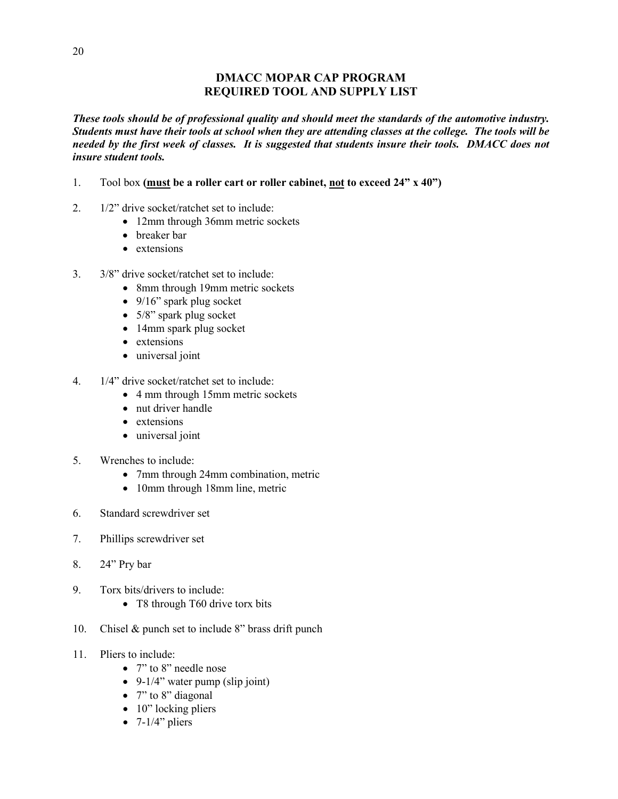# **DMACC MOPAR CAP PROGRAM REQUIRED TOOL AND SUPPLY LIST**

 *Students must have their tools at school when they are attending classes at the college. The tools will be needed by the first week of classes. It is suggested that students insure their tools. DMACC does not These tools should be of professional quality and should meet the standards of the automotive industry. insure student tools.* 

- 1. Tool box **(must be a roller cart or roller cabinet, not to exceed 24" x 40")**
- 2. 1/2" drive socket/ratchet set to include:
	- 12mm through 36mm metric sockets
	- breaker bar
	- extensions
- 3. 3/8" drive socket/ratchet set to include:
	- 8mm through 19mm metric sockets
	- 9/16" spark plug socket
	- 5/8" spark plug socket
	- 14mm spark plug socket
	- extensions
	- universal joint
- 4. 1/4" drive socket/ratchet set to include:
	- 4 mm through 15mm metric sockets
	- nut driver handle
	- extensions
	- universal joint
- 5. Wrenches to include:
	- 7mm through 24mm combination, metric
	- 10mm through 18mm line, metric
- 6. Standard screwdriver set
- 7. Phillips screwdriver set
- 8. 24" Pry bar
- 9. Torx bits/drivers to include:
	- T8 through T60 drive torx bits
- 10. Chisel & punch set to include 8" brass drift punch<br>11. Pliers to include:
- - 7" to 8" needle nose
	- 9-1/4" water pump (slip joint)
	- $7"$  to  $8"$  diagonal
	- 10" locking pliers
	- $\bullet$  7-1/4" pliers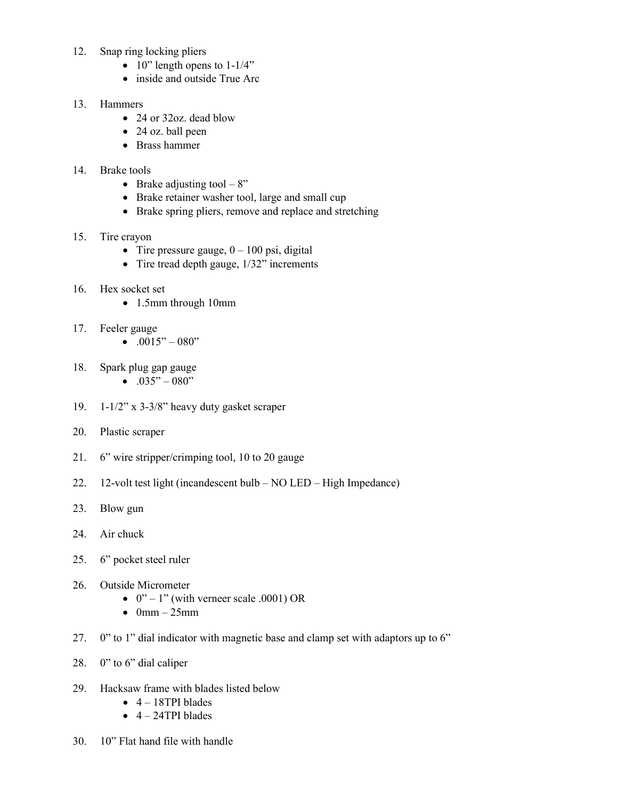- 12. Snap ring locking pliers
	- $\bullet$  10" length opens to 1-1/4"
	- inside and outside True Arc

### 13. Hammers

- 24 or 32oz. dead blow
- 24 oz. ball peen
- Brass hammer

### 14. Brake tools

- Brake adjusting tool  $-8$ "
- Brake retainer washer tool, large and small cup
- Brake spring pliers, remove and replace and stretching

### 15. Tire crayon

- Tire pressure gauge,  $0 100$  psi, digital
- Tire tread depth gauge,  $1/32$ " increments

## 16. Hex socket set

- 1.5mm through 10mm
- 17. Feeler gauge
	- $.0015" 080"$
- 18. Spark plug gap gauge
	- .035" 080"
- 19. 1-1/2" x 3-3/8" heavy duty gasket scraper
- 20. Plastic scraper
- 21. 6" wire stripper/crimping tool, 10 to 20 gauge
- 22. 12-volt test light (incandescent bulb NO LED High Impedance)
- 23. Blow gun
- 24. Air chuck
- 25. 6" pocket steel ruler
- 26. Outside Micrometer
	- $0" 1"$  (with verneer scale .0001) OR
	- $\bullet$  0mm 25mm
- 27. 0" to 1" dial indicator with magnetic base and clamp set with adaptors up to 6"
- 28. 0" to 6" dial caliper
- 29. Hacksaw frame with blades listed below
	- $\bullet$  4 18TPI blades
	- $\bullet$  4 24TPI blades
- 30. 10" Flat hand file with handle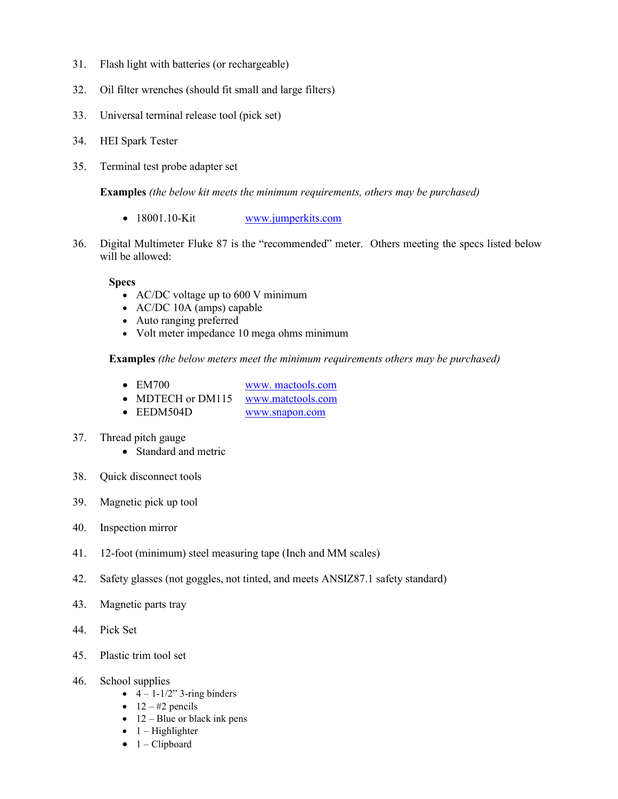- 31. Flash light with batteries (or rechargeable)
- 32. Oil filter wrenches (should fit small and large filters)
- 33. Universal terminal release tool (pick set)
- 34. HEI Spark Tester
- 35. Terminal test probe adapter set

**Examples** *(the below kit meets the minimum requirements, others may be purchased)* 

- 18001.10-Kit www.jumperkits.com
- 36. Digital Multimeter Fluke 87 is the "recommended" meter. Others meeting the specs listed below will be allowed:

### **Specs**

- AC/DC voltage up to 600 V minimum
- AC/DC 10A (amps) capable
- Auto ranging preferred
- Volt meter impedance 10 mega ohms minimum

**Examples** *(the below meters meet the minimum requirements others may be purchased)* 

- EM700
- MDTECH or DM115 www.matctools.com [www. mactools.com](http://www.mactools.com/)
- EEDM504D [www.snapon.com](http://www.snapon.com/)
- 37. Thread pitch gauge
	- Standard and metric
- 38. Quick disconnect tools
- 39. Magnetic pick up tool
- 40. Inspection mirror
- 41. 12-foot (minimum) steel measuring tape (Inch and MM scales)
- 42. Safety glasses (not goggles, not tinted, and meets ANSIZ87.1 safety standard)
- 43. Magnetic parts tray
- 44. Pick Set
- 45. Plastic trim tool set
- 46. School supplies
	- $\bullet$  4 1-1/2" 3-ring binders
	- $12 #2$  pencils
	- $\bullet$  12 Blue or black ink pens
	- $\bullet$  1 Highlighter
	- $\bullet$  1 Clipboard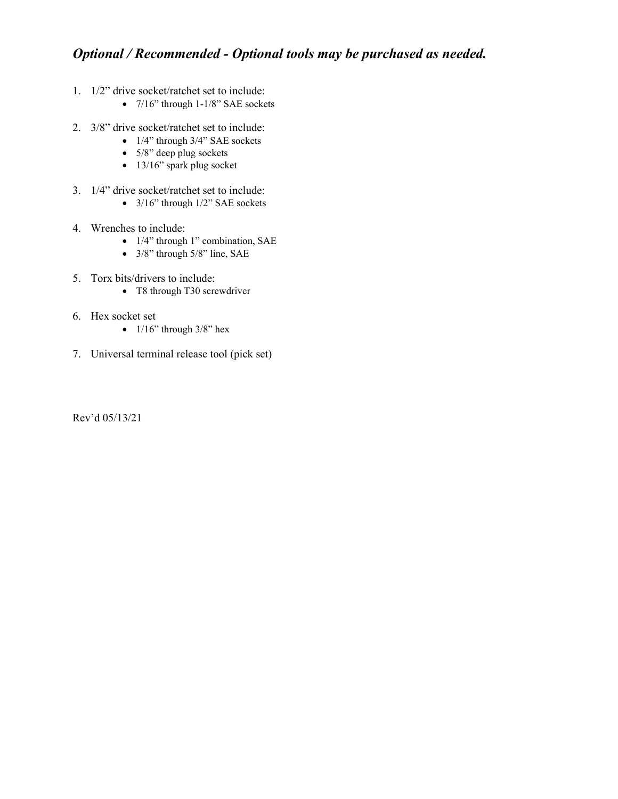# *Optional / Recommended - Optional tools may be purchased as needed.*

- 1. 1/2" drive socket/ratchet set to include:
	- 7/16" through 1-1/8" SAE sockets
- 2. 3/8" drive socket/ratchet set to include:
	- $1/4$ " through  $3/4$ " SAE sockets
	- 5/8" deep plug sockets
	- 13/16" spark plug socket
- 3. 1/4" drive socket/ratchet set to include:
	- 3/16" through 1/2" SAE sockets
- 4. Wrenches to include:
	- 1/4" through 1" combination, SAE
	- 3/8" through 5/8" line, SAE
- 5. Torx bits/drivers to include:
	- T8 through T30 screwdriver
- 6. Hex socket set
	- $1/16$ " through  $3/8$ " hex
- 7. Universal terminal release tool (pick set)

Rev'd 05/13/21